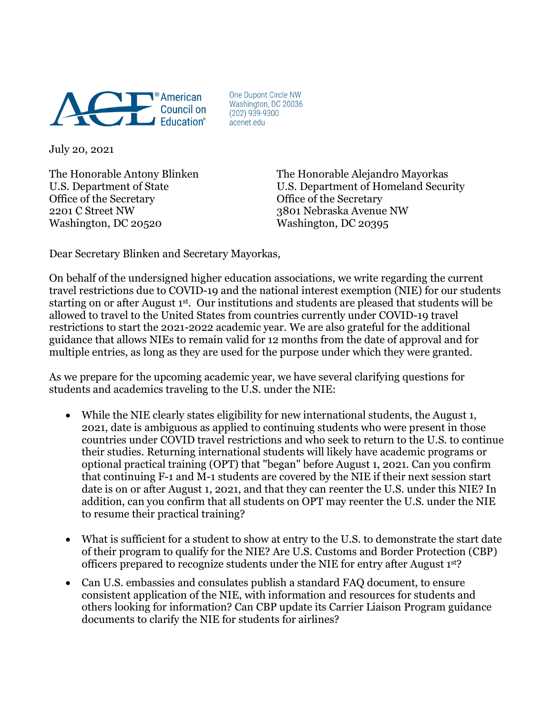

One Dupont Circle NW Washington, DC 20036  $(202)$  939-9300 acenet.edu

July 20, 2021

Office of the Secretary **Office** of the Secretary 2201 C Street NW 3801 Nebraska Avenue NW Washington, DC 20520 Washington, DC 20395

The Honorable Antony Blinken The Honorable Alejandro Mayorkas U.S. Department of State U.S. Department of Homeland Security

Dear Secretary Blinken and Secretary Mayorkas,

On behalf of the undersigned higher education associations, we write regarding the current travel restrictions due to COVID-19 and the national interest exemption (NIE) for our students starting on or after August 1st. Our institutions and students are pleased that students will be allowed to travel to the United States from countries currently under COVID-19 travel restrictions to start the 2021-2022 academic year. We are also grateful for the additional guidance that allows NIEs to remain valid for 12 months from the date of approval and for multiple entries, as long as they are used for the purpose under which they were granted.

As we prepare for the upcoming academic year, we have several clarifying questions for students and academics traveling to the U.S. under the NIE:

- While the NIE clearly states eligibility for new international students, the August 1, 2021, date is ambiguous as applied to continuing students who were present in those countries under COVID travel restrictions and who seek to return to the U.S. to continue their studies. Returning international students will likely have academic programs or optional practical training (OPT) that "began" before August 1, 2021. Can you confirm that continuing F-1 and M-1 students are covered by the NIE if their next session start date is on or after August 1, 2021, and that they can reenter the U.S. under this NIE? In addition, can you confirm that all students on OPT may reenter the U.S. under the NIE to resume their practical training?
- What is sufficient for a student to show at entry to the U.S. to demonstrate the start date of their program to qualify for the NIE? Are U.S. Customs and Border Protection (CBP) officers prepared to recognize students under the NIE for entry after August 1st?
- Can U.S. embassies and consulates publish a standard FAQ document, to ensure consistent application of the NIE, with information and resources for students and others looking for information? Can CBP update its Carrier Liaison Program guidance documents to clarify the NIE for students for airlines?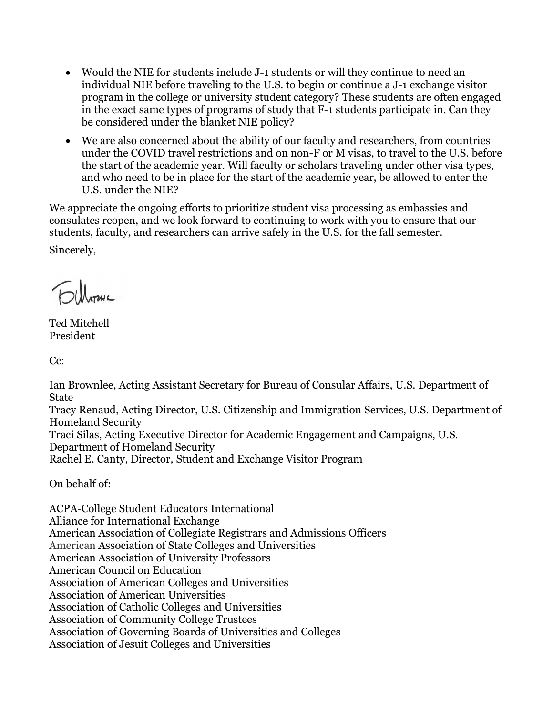- Would the NIE for students include J-1 students or will they continue to need an individual NIE before traveling to the U.S. to begin or continue a J-1 exchange visitor program in the college or university student category? These students are often engaged in the exact same types of programs of study that F-1 students participate in. Can they be considered under the blanket NIE policy?
- We are also concerned about the ability of our faculty and researchers, from countries under the COVID travel restrictions and on non-F or M visas, to travel to the U.S. before the start of the academic year. Will faculty or scholars traveling under other visa types, and who need to be in place for the start of the academic year, be allowed to enter the U.S. under the NIE?

We appreciate the ongoing efforts to prioritize student visa processing as embassies and consulates reopen, and we look forward to continuing to work with you to ensure that our students, faculty, and researchers can arrive safely in the U.S. for the fall semester.

Sincerely,

**JULIANE** 

Ted Mitchell President

Cc:

Ian Brownlee, Acting Assistant Secretary for Bureau of Consular Affairs, U.S. Department of **State** 

Tracy Renaud, Acting Director, U.S. Citizenship and Immigration Services, U.S. Department of Homeland Security

Traci Silas, Acting Executive Director for Academic Engagement and Campaigns, U.S. Department of Homeland Security

Rachel E. Canty, Director, Student and Exchange Visitor Program

On behalf of:

ACPA-College Student Educators International Alliance for International Exchange American Association of Collegiate Registrars and Admissions Officers American Association of State Colleges and Universities American Association of University Professors American Council on Education Association of American Colleges and Universities Association of American Universities Association of Catholic Colleges and Universities Association of Community College Trustees Association of Governing Boards of Universities and Colleges Association of Jesuit Colleges and Universities